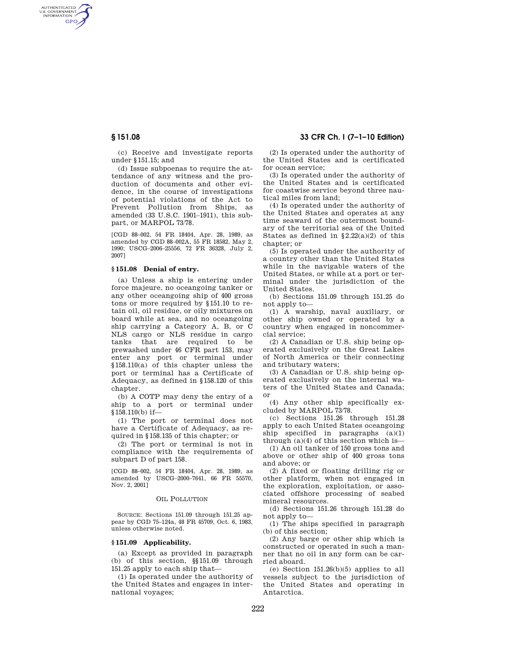AUTHENTICATED<br>U.S. GOVERNMENT<br>INFORMATION **GPO** 

**§ 151.08 33 CFR Ch. I (7–1–10 Edition)** 

(c) Receive and investigate reports under §151.15; and

(d) Issue subpoenas to require the attendance of any witness and the production of documents and other evidence, in the course of investigations of potential violations of the Act to Prevent Pollution from Ships, as amended (33 U.S.C. 1901–1911), this subpart, or MARPOL 73/78.

[CGD 88–002, 54 FR 18404, Apr. 28, 1989, as amended by CGD 88–002A, 55 FR 18582, May 2, 1990; USCG–2006–25556, 72 FR 36328, July 2, 2007]

# **§ 151.08 Denial of entry.**

(a) Unless a ship is entering under force majeure, no oceangoing tanker or any other oceangoing ship of 400 gross tons or more required by §151.10 to retain oil, oil residue, or oily mixtures on board while at sea, and no oceangoing ship carrying a Category A, B, or C NLS cargo or NLS residue in cargo tanks that are required to be prewashed under 46 CFR part 153, may enter any port or terminal under §158.110(a) of this chapter unless the port or terminal has a Certificate of Adequacy, as defined in §158.120 of this chapter.

(b) A COTP may deny the entry of a ship to a port or terminal under  $$158.110(b)$  if-

(1) The port or terminal does not have a Certificate of Adequacy, as required in §158.135 of this chapter; or

(2) The port or terminal is not in compliance with the requirements of subpart D of part 158.

[CGD 88–002, 54 FR 18404, Apr. 28, 1989, as amended by USCG–2000–7641, 66 FR 55570, Nov. 2, 2001]

### OIL POLLUTION

SOURCE: Sections 151.09 through 151.25 appear by CGD 75–124a, 48 FR 45709, Oct. 6, 1983, unless otherwise noted.

#### **§ 151.09 Applicability.**

(a) Except as provided in paragraph (b) of this section, §§151.09 through 151.25 apply to each ship that—

(1) Is operated under the authority of the United States and engages in international voyages;

(2) Is operated under the authority of the United States and is certificated for ocean service;

(3) Is operated under the authority of the United States and is certificated for coastwise service beyond three nautical miles from land;

(4) Is operated under the authority of the United States and operates at any time seaward of the outermost boundary of the territorial sea of the United States as defined in  $\S 2.22(a)(2)$  of this chapter; or

(5) Is operated under the authority of a country other than the United States while in the navigable waters of the United States, or while at a port or terminal under the jurisdiction of the United States.

(b) Sections 151.09 through 151.25 do not apply to—

(1) A warship, naval auxiliary, or other ship owned or operated by a country when engaged in noncommercial service;

(2) A Canadian or U.S. ship being operated exclusively on the Great Lakes of North America or their connecting and tributary waters;

(3) A Canadian or U.S. ship being operated exclusively on the internal waters of the United States and Canada; or

(4) Any other ship specifically excluded by MARPOL 73/78.

(c) Sections 151.26 through 151.28 apply to each United States oceangoing ship specified in paragraphs  $(a)(1)$ through  $(a)(4)$  of this section which is—

(1) An oil tanker of 150 gross tons and above or other ship of 400 gross tons and above; or

(2) A fixed or floating drilling rig or other platform, when not engaged in the exploration, exploitation, or associated offshore processing of seabed mineral resources.

(d) Sections 151.26 through 151.28 do not apply to—

(1) The ships specified in paragraph (b) of this section;

(2) Any barge or other ship which is constructed or operated in such a manner that no oil in any form can be carried aboard.

(e) Section 151.26(b)(5) applies to all vessels subject to the jurisdiction of the United States and operating in Antarctica.